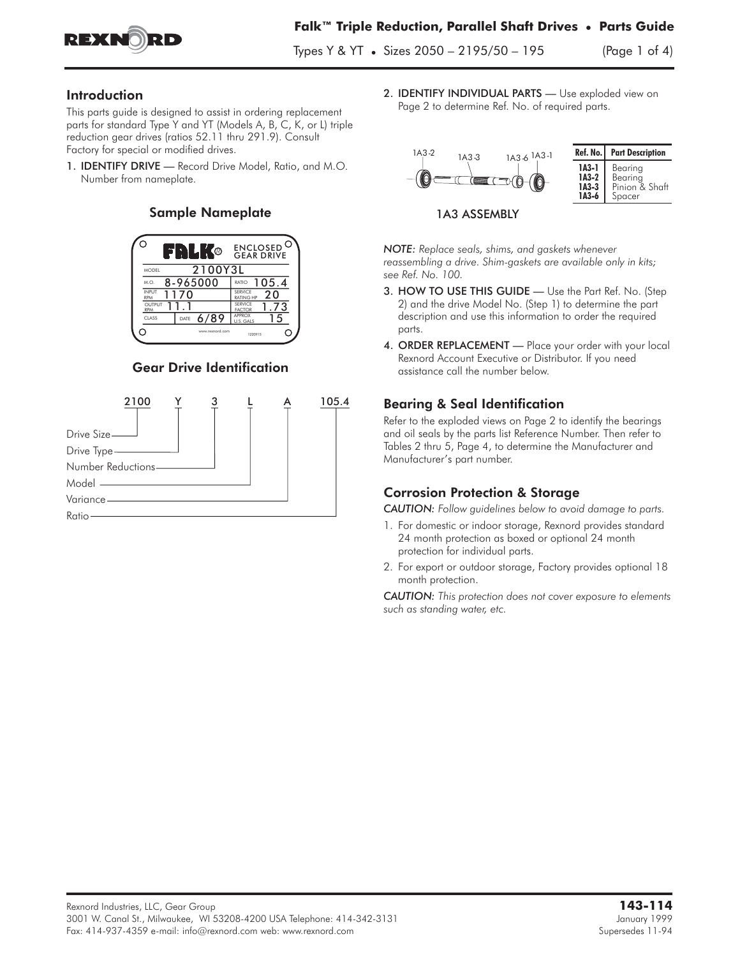

Types Y & YT • Sizes 2050 – 2195/50 – 195 (Page 1 of 4)

#### Introduction

This parts guide is designed to assist in ordering replacement parts for standard Type Y and YT (Models A, B, C, K, or L) triple reduction gear drives (ratios 52.11 thru 291.9). Consult Factory for special or modified drives.

1. IDENTIFY DRIVE — Record Drive Model, Ratio, and M.O. Number from nameplate.

#### Sample Nameplate



Gear Drive Identification



2. **IDENTIFY INDIVIDUAL PARTS** - Use exploded view on Page 2 to determine Ref. No. of required parts.



1A3 ASSEMBLY

*NOTE: Replace seals, shims, and gaskets whenever reassembling a drive. Shim-gaskets are available only in kits; see Ref. No. 100.*

- 3. HOW TO USE THIS GUIDE Use the Part Ref. No. (Step 2) and the drive Model No. (Step 1) to determine the part description and use this information to order the required parts.
- 4. ORDER REPLACEMENT Place your order with your local Rexnord Account Executive or Distributor. If you need assistance call the number below.

#### Bearing & Seal Identification

Refer to the exploded views on Page 2 to identify the bearings and oil seals by the parts list Reference Number. Then refer to Tables 2 thru 5, Page 4, to determine the Manufacturer and Manufacturer's part number.

## Corrosion Protection & Storage

*CAUTION: Follow guidelines below to avoid damage to parts.*

- 1. For domestic or indoor storage, Rexnord provides standard 24 month protection as boxed or optional 24 month protection for individual parts.
- 2. For export or outdoor storage, Factory provides optional 18 month protection.

*CAUTION: This protection does not cover exposure to elements such as standing water, etc.*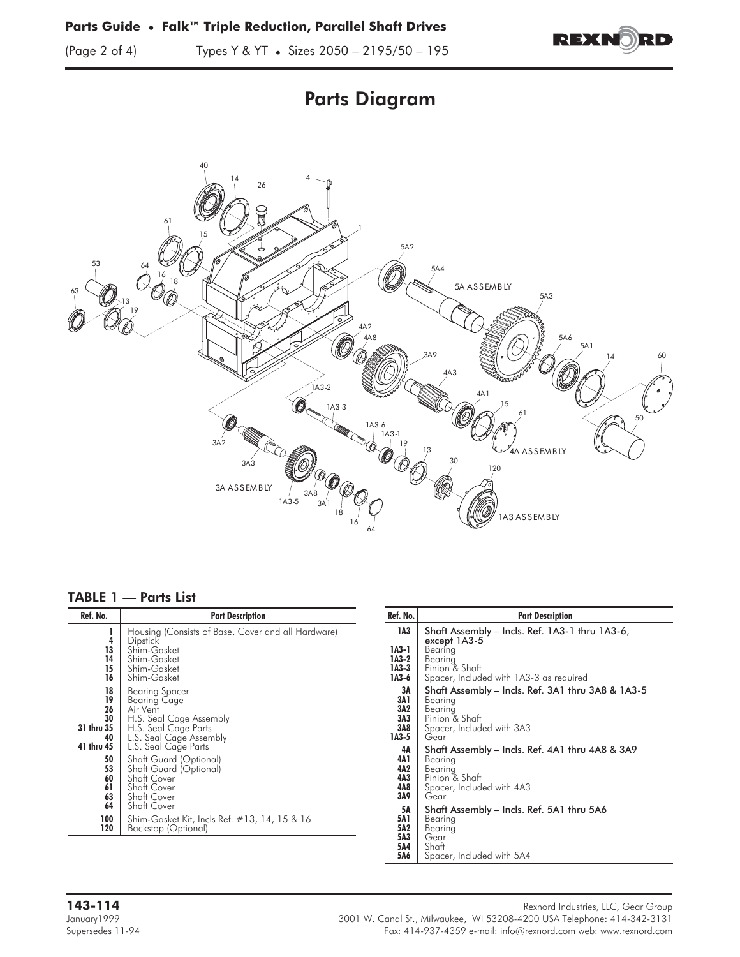

# Parts Diagram



#### TABLE 1 — Parts List

| Ref. No.                                       | <b>Part Description</b>                                                                                                                            | Ref. No.                                            | <b>Part Description</b>                                                                                                                           |  |  |
|------------------------------------------------|----------------------------------------------------------------------------------------------------------------------------------------------------|-----------------------------------------------------|---------------------------------------------------------------------------------------------------------------------------------------------------|--|--|
| 4<br>13<br>14<br>15<br>16                      | Housing (Consists of Base, Cover and all Hardware)<br>Dipstick<br>Shim-Gasket<br>Shim-Gasket<br>Shim-Gasket<br>Shim-Gasket                         | 1A3<br>1A3-1<br>$IA3-2$<br>$IA3-3$<br>1A3-6         | Shaft Assembly - Incls. Ref. 1A3-1 thru 1A3-6,<br>except 1A3-5<br>Bearing<br>Bearing<br>Pinion & Shaft<br>Spacer, Included with 1A3-3 as required |  |  |
| 18<br>19<br>26<br>30<br>31 thru 35<br>40       | <b>Bearing Spacer</b><br><b>Bearing Cage</b><br>Air Vent<br>H.S. Seal Cage Assembly<br>H.S. Seal Cage Parts<br>L.S. Seal Cage Assembly             | 3A<br>3A1<br>3A2<br>3A <sub>3</sub><br>3A8<br>1A3-5 | Shaft Assembly - Incls. Ref. 3A1 thru 3A8 & 1A3-5<br>Bearing<br>Bearing<br>Pinion & Shaft<br>Spacer, Included with 3A3<br>Gear                    |  |  |
| 41 thru 45<br>50<br>53<br>60<br>61<br>63<br>64 | L.S. Seal Cage Parts<br>Shaft Guard (Optional)<br>Shaft Guard (Optional)<br>Shaft Cover<br>Shaft Cover<br><b>Shaft Cover</b><br><b>Shaft Cover</b> | 4A<br>4A1<br>4A2<br>4A3<br>4A8<br>3A9               | Shaft Assembly - Incls. Ref. 4A1 thru 4A8 & 3A9<br>Bearing<br>Bearing<br>Pinion & Shaft<br>Spacer, Included with 4A3<br>Gear                      |  |  |
| 100<br>120                                     | Shim-Gasket Kit, Incls Ref. #13, 14, 15 & 16<br>Backstop (Optional)                                                                                | 5Α<br>5A1<br>5A2<br>5A3<br>5A4<br>5A6               | Shaft Assembly - Incls. Ref. 5A1 thru 5A6<br>Bearing<br>Bearing<br>Gear<br>Shaft<br>Spacer, Included with 5A4                                     |  |  |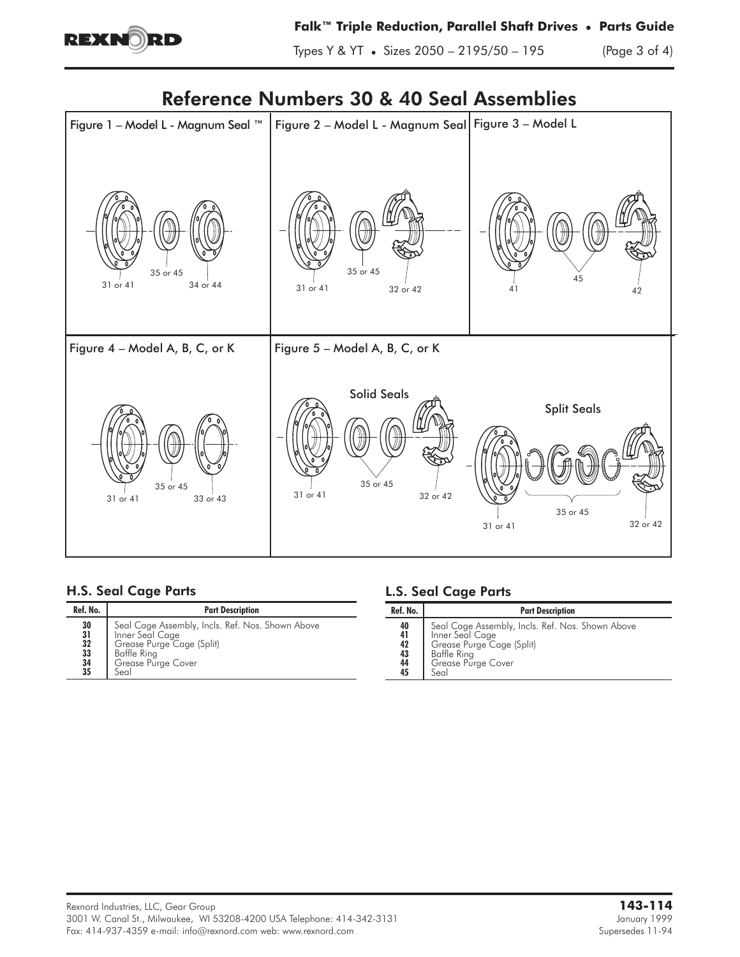

Types Y & YT • Sizes 2050 – 2195/50 – 195 (Page 3 of 4)

## Reference Numbers 30 & 40 Seal Assemblies



## H.S. Seal Cage Parts

| Ref. No.                                                        | <b>Part Description</b>                                                                                                                       |
|-----------------------------------------------------------------|-----------------------------------------------------------------------------------------------------------------------------------------------|
| $\begin{array}{c} 30 \\ 31 \\ 32 \\ 33 \end{array}$<br>34<br>35 | Seal Cage Assembly, Incls. Ref. Nos. Shown Above<br>Inner Seal Cage<br>Grease Purge Cage (Split)<br>Baffle Ring<br>Grease Purge Cover<br>Seal |

## L.S. Seal Cage Parts

| Ref. No.                         | <b>Part Description</b>                                                                                                                       |
|----------------------------------|-----------------------------------------------------------------------------------------------------------------------------------------------|
| 40<br>41<br>42<br>43<br>44<br>45 | Seal Cage Assembly, Incls. Ref. Nos. Shown Above<br>Inner Seal Cage<br>Grease Purge Cage (Split)<br>Baffle Ring<br>Grease Purge Cover<br>Seal |